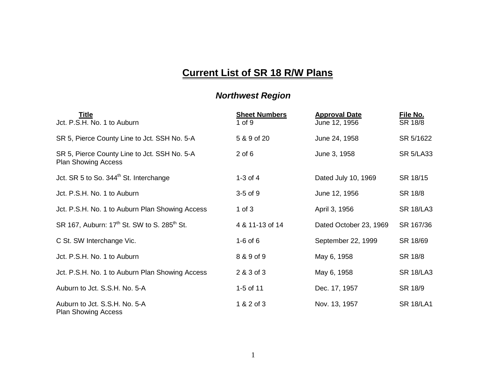## **Current List of SR 18 R/W Plans**

## *Northwest Region*

| Title<br>Jct. P.S.H. No. 1 to Auburn                                       | <b>Sheet Numbers</b><br>$1$ of $9$ | <b>Approval Date</b><br>June 12, 1956 | File No.<br>SR 18/8 |
|----------------------------------------------------------------------------|------------------------------------|---------------------------------------|---------------------|
| SR 5, Pierce County Line to Jct. SSH No. 5-A                               | 5 & 9 of 20                        | June 24, 1958                         | SR 5/1622           |
| SR 5, Pierce County Line to Jct. SSH No. 5-A<br><b>Plan Showing Access</b> | $2$ of $6$                         | June 3, 1958                          | <b>SR 5/LA33</b>    |
| Jct. SR 5 to So. 344 <sup>th</sup> St. Interchange                         | $1-3$ of $4$                       | Dated July 10, 1969                   | SR 18/15            |
| Jct. P.S.H. No. 1 to Auburn                                                | $3-5$ of $9$                       | June 12, 1956                         | SR 18/8             |
| Jct. P.S.H. No. 1 to Auburn Plan Showing Access                            | 1 of $3$                           | April 3, 1956                         | <b>SR 18/LA3</b>    |
| SR 167, Auburn: 17 <sup>th</sup> St. SW to S. 285 <sup>th</sup> St.        | 4 & 11-13 of 14                    | Dated October 23, 1969                | SR 167/36           |
| C St. SW Interchange Vic.                                                  | $1-6$ of $6$                       | September 22, 1999                    | SR 18/69            |
| Jct. P.S.H. No. 1 to Auburn                                                | 8 & 9 of 9                         | May 6, 1958                           | SR 18/8             |
| Jct. P.S.H. No. 1 to Auburn Plan Showing Access                            | 2 & 3 of 3                         | May 6, 1958                           | <b>SR 18/LA3</b>    |
| Auburn to Jct. S.S.H. No. 5-A                                              | 1-5 of 11                          | Dec. 17, 1957                         | SR 18/9             |
| Auburn to Jct. S.S.H. No. 5-A<br><b>Plan Showing Access</b>                | 1 & 2 of 3                         | Nov. 13, 1957                         | <b>SR 18/LA1</b>    |